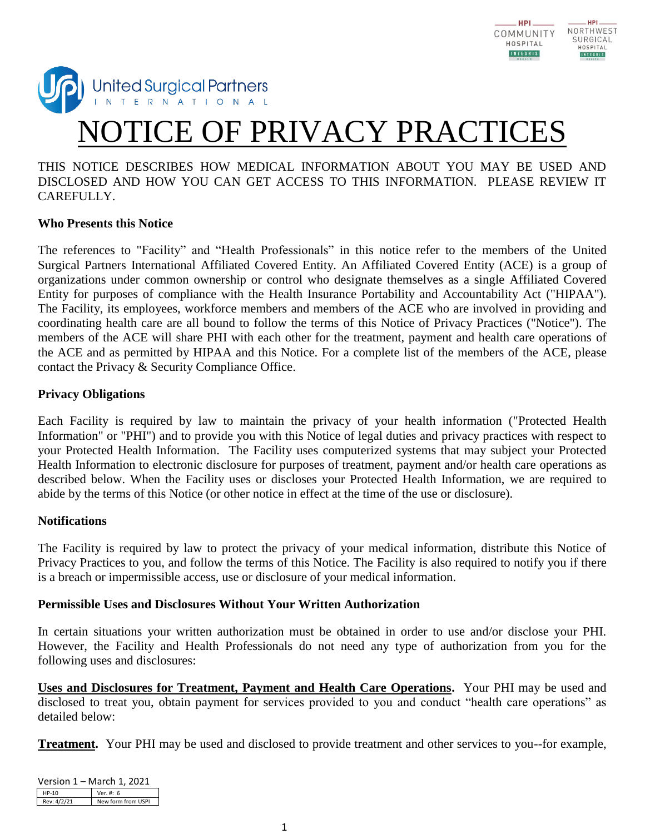



# E OF PRIVACY PRACTIC

# THIS NOTICE DESCRIBES HOW MEDICAL INFORMATION ABOUT YOU MAY BE USED AND DISCLOSED AND HOW YOU CAN GET ACCESS TO THIS INFORMATION. PLEASE REVIEW IT CAREFULLY.

#### **Who Presents this Notice**

The references to "Facility" and "Health Professionals" in this notice refer to the members of the United Surgical Partners International Affiliated Covered Entity. An Affiliated Covered Entity (ACE) is a group of organizations under common ownership or control who designate themselves as a single Affiliated Covered Entity for purposes of compliance with the Health Insurance Portability and Accountability Act ("HIPAA"). The Facility, its employees, workforce members and members of the ACE who are involved in providing and coordinating health care are all bound to follow the terms of this Notice of Privacy Practices ("Notice"). The members of the ACE will share PHI with each other for the treatment, payment and health care operations of the ACE and as permitted by HIPAA and this Notice. For a complete list of the members of the ACE, please contact the Privacy & Security Compliance Office.

#### **Privacy Obligations**

Each Facility is required by law to maintain the privacy of your health information ("Protected Health Information" or "PHI") and to provide you with this Notice of legal duties and privacy practices with respect to your Protected Health Information. The Facility uses computerized systems that may subject your Protected Health Information to electronic disclosure for purposes of treatment, payment and/or health care operations as described below. When the Facility uses or discloses your Protected Health Information, we are required to abide by the terms of this Notice (or other notice in effect at the time of the use or disclosure).

#### **Notifications**

The Facility is required by law to protect the privacy of your medical information, distribute this Notice of Privacy Practices to you, and follow the terms of this Notice. The Facility is also required to notify you if there is a breach or impermissible access, use or disclosure of your medical information.

#### **Permissible Uses and Disclosures Without Your Written Authorization**

In certain situations your written authorization must be obtained in order to use and/or disclose your PHI. However, the Facility and Health Professionals do not need any type of authorization from you for the following uses and disclosures:

**Uses and Disclosures for Treatment, Payment and Health Care Operations.** Your PHI may be used and disclosed to treat you, obtain payment for services provided to you and conduct "health care operations" as detailed below:

**Treatment.** Your PHI may be used and disclosed to provide treatment and other services to you--for example,

| Version 1 – March 1, 2021 |                    |  |  |
|---------------------------|--------------------|--|--|
| HP-10                     | Ver. #: 6          |  |  |
| Rev: 4/2/21               | New form from USPI |  |  |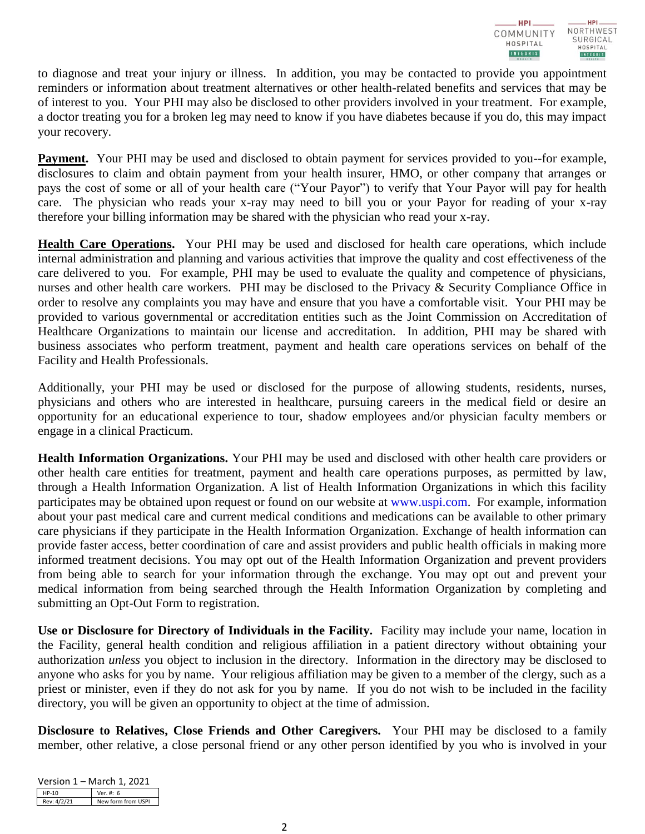to diagnose and treat your injury or illness. In addition, you may be contacted to provide you appointment reminders or information about treatment alternatives or other health-related benefits and services that may be of interest to you. Your PHI may also be disclosed to other providers involved in your treatment. For example, a doctor treating you for a broken leg may need to know if you have diabetes because if you do, this may impact your recovery.

**Payment.** Your PHI may be used and disclosed to obtain payment for services provided to you--for example, disclosures to claim and obtain payment from your health insurer, HMO, or other company that arranges or pays the cost of some or all of your health care ("Your Payor") to verify that Your Payor will pay for health care. The physician who reads your x-ray may need to bill you or your Payor for reading of your x-ray therefore your billing information may be shared with the physician who read your x-ray.

**Health Care Operations.** Your PHI may be used and disclosed for health care operations, which include internal administration and planning and various activities that improve the quality and cost effectiveness of the care delivered to you. For example, PHI may be used to evaluate the quality and competence of physicians, nurses and other health care workers. PHI may be disclosed to the Privacy & Security Compliance Office in order to resolve any complaints you may have and ensure that you have a comfortable visit. Your PHI may be provided to various governmental or accreditation entities such as the Joint Commission on Accreditation of Healthcare Organizations to maintain our license and accreditation. In addition, PHI may be shared with business associates who perform treatment, payment and health care operations services on behalf of the Facility and Health Professionals.

Additionally, your PHI may be used or disclosed for the purpose of allowing students, residents, nurses, physicians and others who are interested in healthcare, pursuing careers in the medical field or desire an opportunity for an educational experience to tour, shadow employees and/or physician faculty members or engage in a clinical Practicum.

**Health Information Organizations.** Your PHI may be used and disclosed with other health care providers or other health care entities for treatment, payment and health care operations purposes, as permitted by law, through a Health Information Organization. A list of Health Information Organizations in which this facility participates may be obtained upon request or found on our website at [www.uspi.com.](http://www.uspi.com/) For example, information about your past medical care and current medical conditions and medications can be available to other primary care physicians if they participate in the Health Information Organization. Exchange of health information can provide faster access, better coordination of care and assist providers and public health officials in making more informed treatment decisions. You may opt out of the Health Information Organization and prevent providers from being able to search for your information through the exchange. You may opt out and prevent your medical information from being searched through the Health Information Organization by completing and submitting an Opt-Out Form to registration.

**Use or Disclosure for Directory of Individuals in the Facility.** Facility may include your name, location in the Facility, general health condition and religious affiliation in a patient directory without obtaining your authorization *unless* you object to inclusion in the directory. Information in the directory may be disclosed to anyone who asks for you by name. Your religious affiliation may be given to a member of the clergy, such as a priest or minister, even if they do not ask for you by name. If you do not wish to be included in the facility directory, you will be given an opportunity to object at the time of admission.

**Disclosure to Relatives, Close Friends and Other Caregivers.** Your PHI may be disclosed to a family member, other relative, a close personal friend or any other person identified by you who is involved in your

| Version 1 – March 1, 2021 |                    |  |
|---------------------------|--------------------|--|
| $HP-10$                   | Ver. #: 6          |  |
| Rev: 4/2/21               | New form from USPI |  |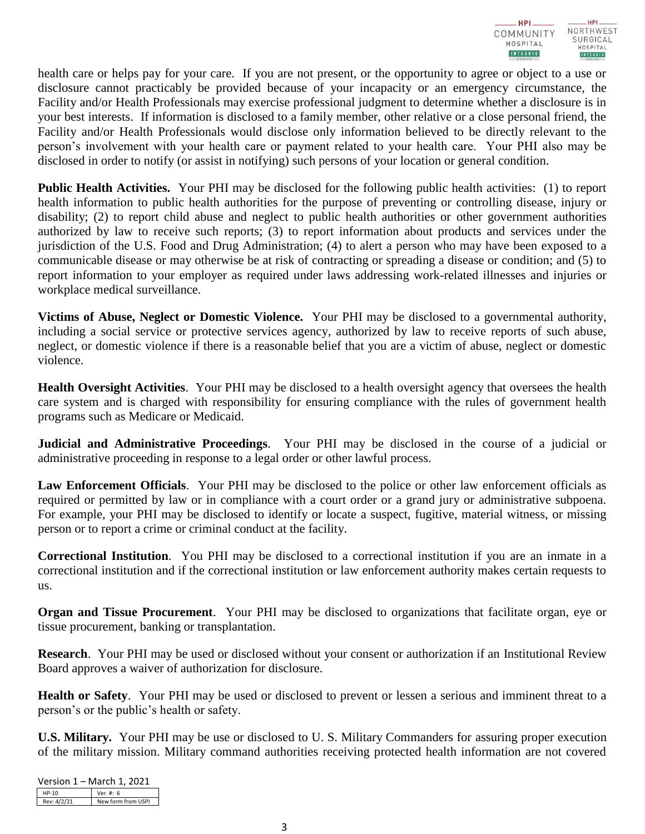

health care or helps pay for your care. If you are not present, or the opportunity to agree or object to a use or disclosure cannot practicably be provided because of your incapacity or an emergency circumstance, the Facility and/or Health Professionals may exercise professional judgment to determine whether a disclosure is in your best interests. If information is disclosed to a family member, other relative or a close personal friend, the Facility and/or Health Professionals would disclose only information believed to be directly relevant to the person's involvement with your health care or payment related to your health care. Your PHI also may be disclosed in order to notify (or assist in notifying) such persons of your location or general condition.

**Public Health Activities.** Your PHI may be disclosed for the following public health activities: (1) to report health information to public health authorities for the purpose of preventing or controlling disease, injury or disability; (2) to report child abuse and neglect to public health authorities or other government authorities authorized by law to receive such reports; (3) to report information about products and services under the jurisdiction of the U.S. Food and Drug Administration; (4) to alert a person who may have been exposed to a communicable disease or may otherwise be at risk of contracting or spreading a disease or condition; and (5) to report information to your employer as required under laws addressing work-related illnesses and injuries or workplace medical surveillance.

**Victims of Abuse, Neglect or Domestic Violence.** Your PHI may be disclosed to a governmental authority, including a social service or protective services agency, authorized by law to receive reports of such abuse, neglect, or domestic violence if there is a reasonable belief that you are a victim of abuse, neglect or domestic violence.

**Health Oversight Activities**. Your PHI may be disclosed to a health oversight agency that oversees the health care system and is charged with responsibility for ensuring compliance with the rules of government health programs such as Medicare or Medicaid.

**Judicial and Administrative Proceedings**. Your PHI may be disclosed in the course of a judicial or administrative proceeding in response to a legal order or other lawful process.

**Law Enforcement Officials**. Your PHI may be disclosed to the police or other law enforcement officials as required or permitted by law or in compliance with a court order or a grand jury or administrative subpoena. For example, your PHI may be disclosed to identify or locate a suspect, fugitive, material witness, or missing person or to report a crime or criminal conduct at the facility.

**Correctional Institution**. You PHI may be disclosed to a correctional institution if you are an inmate in a correctional institution and if the correctional institution or law enforcement authority makes certain requests to us.

**Organ and Tissue Procurement**. Your PHI may be disclosed to organizations that facilitate organ, eye or tissue procurement, banking or transplantation.

**Research**. Your PHI may be used or disclosed without your consent or authorization if an Institutional Review Board approves a waiver of authorization for disclosure.

**Health or Safety**. Your PHI may be used or disclosed to prevent or lessen a serious and imminent threat to a person's or the public's health or safety.

**U.S. Military.** Your PHI may be use or disclosed to U. S. Military Commanders for assuring proper execution of the military mission. Military command authorities receiving protected health information are not covered

| Version 1 – March 1, 2021 |             |                    |  |
|---------------------------|-------------|--------------------|--|
|                           | $HP-10$     | Ver. #: 6          |  |
|                           | Rev: 4/2/21 | New form from USPI |  |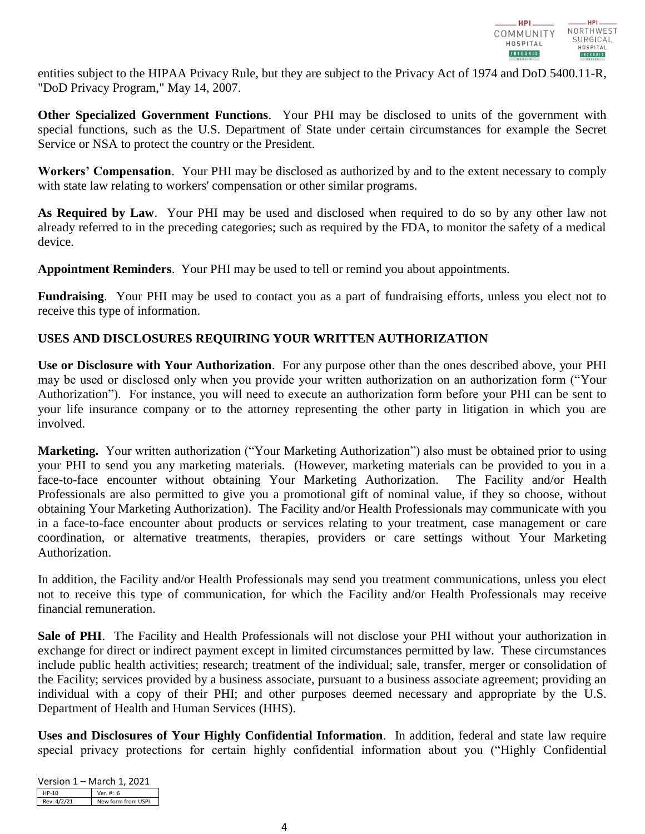

entities subject to the HIPAA Privacy Rule, but they are subject to the Privacy Act of 1974 and DoD 5400.11-R, "DoD Privacy Program," May 14, 2007.

**Other Specialized Government Functions**. Your PHI may be disclosed to units of the government with special functions, such as the U.S. Department of State under certain circumstances for example the Secret Service or NSA to protect the country or the President.

**Workers' Compensation**. Your PHI may be disclosed as authorized by and to the extent necessary to comply with state law relating to workers' compensation or other similar programs.

**As Required by Law**. Your PHI may be used and disclosed when required to do so by any other law not already referred to in the preceding categories; such as required by the FDA, to monitor the safety of a medical device.

**Appointment Reminders**. Your PHI may be used to tell or remind you about appointments.

**Fundraising**. Your PHI may be used to contact you as a part of fundraising efforts, unless you elect not to receive this type of information.

# **USES AND DISCLOSURES REQUIRING YOUR WRITTEN AUTHORIZATION**

**Use or Disclosure with Your Authorization**. For any purpose other than the ones described above, your PHI may be used or disclosed only when you provide your written authorization on an authorization form ("Your Authorization"). For instance, you will need to execute an authorization form before your PHI can be sent to your life insurance company or to the attorney representing the other party in litigation in which you are involved.

**Marketing.** Your written authorization ("Your Marketing Authorization") also must be obtained prior to using your PHI to send you any marketing materials. (However, marketing materials can be provided to you in a face-to-face encounter without obtaining Your Marketing Authorization. The Facility and/or Health Professionals are also permitted to give you a promotional gift of nominal value, if they so choose, without obtaining Your Marketing Authorization). The Facility and/or Health Professionals may communicate with you in a face-to-face encounter about products or services relating to your treatment, case management or care coordination, or alternative treatments, therapies, providers or care settings without Your Marketing Authorization.

In addition, the Facility and/or Health Professionals may send you treatment communications, unless you elect not to receive this type of communication, for which the Facility and/or Health Professionals may receive financial remuneration.

**Sale of PHI**. The Facility and Health Professionals will not disclose your PHI without your authorization in exchange for direct or indirect payment except in limited circumstances permitted by law. These circumstances include public health activities; research; treatment of the individual; sale, transfer, merger or consolidation of the Facility; services provided by a business associate, pursuant to a business associate agreement; providing an individual with a copy of their PHI; and other purposes deemed necessary and appropriate by the U.S. Department of Health and Human Services (HHS).

**Uses and Disclosures of Your Highly Confidential Information**. In addition, federal and state law require special privacy protections for certain highly confidential information about you ("Highly Confidential

| Version 1 – March 1, 2021 |                    |  |
|---------------------------|--------------------|--|
| $HP-10$                   | Ver. #: 6          |  |
| Rev: 4/2/21               | New form from USPI |  |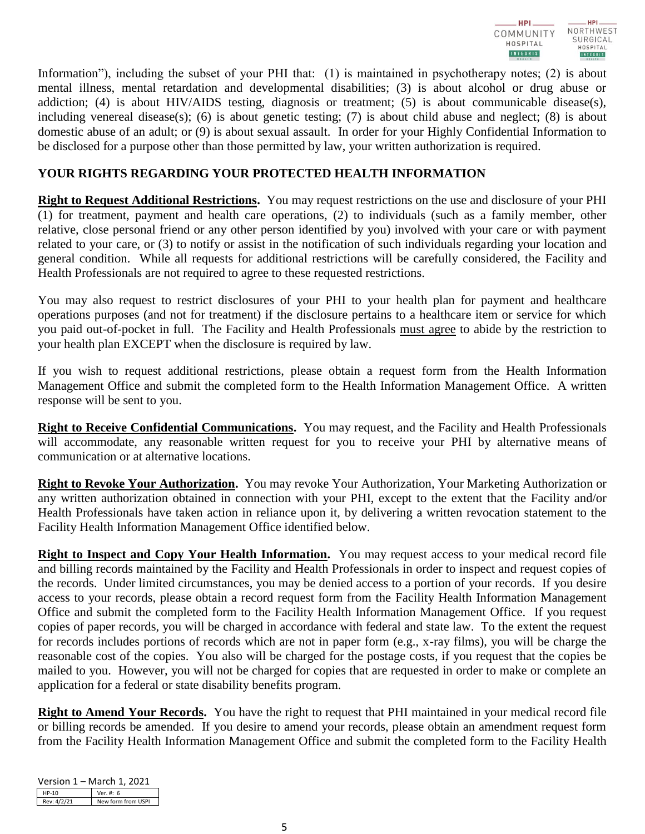

Information"), including the subset of your PHI that: (1) is maintained in psychotherapy notes; (2) is about mental illness, mental retardation and developmental disabilities; (3) is about alcohol or drug abuse or addiction; (4) is about HIV/AIDS testing, diagnosis or treatment; (5) is about communicable disease(s), including venereal disease(s); (6) is about genetic testing; (7) is about child abuse and neglect; (8) is about domestic abuse of an adult; or (9) is about sexual assault.In order for your Highly Confidential Information to be disclosed for a purpose other than those permitted by law, your written authorization is required.

# **YOUR RIGHTS REGARDING YOUR PROTECTED HEALTH INFORMATION**

**Right to Request Additional Restrictions.** You may request restrictions on the use and disclosure of your PHI (1) for treatment, payment and health care operations, (2) to individuals (such as a family member, other relative, close personal friend or any other person identified by you) involved with your care or with payment related to your care, or (3) to notify or assist in the notification of such individuals regarding your location and general condition. While all requests for additional restrictions will be carefully considered, the Facility and Health Professionals are not required to agree to these requested restrictions.

You may also request to restrict disclosures of your PHI to your health plan for payment and healthcare operations purposes (and not for treatment) if the disclosure pertains to a healthcare item or service for which you paid out-of-pocket in full. The Facility and Health Professionals must agree to abide by the restriction to your health plan EXCEPT when the disclosure is required by law.

If you wish to request additional restrictions, please obtain a request form from the Health Information Management Office and submit the completed form to the Health Information Management Office. A written response will be sent to you.

**Right to Receive Confidential Communications.** You may request, and the Facility and Health Professionals will accommodate, any reasonable written request for you to receive your PHI by alternative means of communication or at alternative locations.

**Right to Revoke Your Authorization.** You may revoke Your Authorization, Your Marketing Authorization or any written authorization obtained in connection with your PHI, except to the extent that the Facility and/or Health Professionals have taken action in reliance upon it, by delivering a written revocation statement to the Facility Health Information Management Office identified below.

**Right to Inspect and Copy Your Health Information.** You may request access to your medical record file and billing records maintained by the Facility and Health Professionals in order to inspect and request copies of the records. Under limited circumstances, you may be denied access to a portion of your records. If you desire access to your records, please obtain a record request form from the Facility Health Information Management Office and submit the completed form to the Facility Health Information Management Office. If you request copies of paper records, you will be charged in accordance with federal and state law. To the extent the request for records includes portions of records which are not in paper form (e.g., x-ray films), you will be charge the reasonable cost of the copies. You also will be charged for the postage costs, if you request that the copies be mailed to you. However, you will not be charged for copies that are requested in order to make or complete an application for a federal or state disability benefits program.

**Right to Amend Your Records.** You have the right to request that PHI maintained in your medical record file or billing records be amended. If you desire to amend your records, please obtain an amendment request form from the Facility Health Information Management Office and submit the completed form to the Facility Health

| Version 1 – March 1, 2021 |                    |  |
|---------------------------|--------------------|--|
| $HP-10$                   | Ver. #: 6          |  |
| Rev: 4/2/21               | New form from USPI |  |